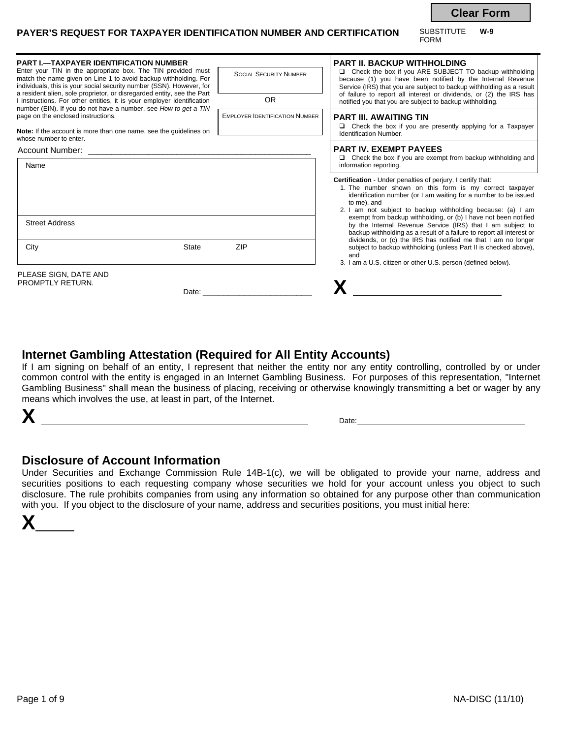## **Clear Form**

## **PAYER'S REQUEST FOR TAXPAYER IDENTIFICATION NUMBER AND CERTIFICATION SUBSTITUTE**

FORM **W-9**

| <b>PART I.—TAXPAYER IDENTIFICATION NUMBER</b><br>Enter your TIN in the appropriate box. The TIN provided must<br>match the name given on Line 1 to avoid backup withholding. For<br>individuals, this is your social security number (SSN). However, for<br>a resident alien, sole proprietor, or disregarded entity, see the Part<br>I instructions. For other entities, it is your employer identification | <b>SOCIAL SECURITY NUMBER</b><br><b>OR</b> | <b>PART II. BACKUP WITHHOLDING</b><br>$\Box$ Check the box if you ARE SUBJECT TO backup withholding<br>because (1) you have been notified by the Internal Revenue<br>Service (IRS) that you are subject to backup withholding as a result<br>of failure to report all interest or dividends, or (2) the IRS has<br>notified you that you are subject to backup withholding. |
|--------------------------------------------------------------------------------------------------------------------------------------------------------------------------------------------------------------------------------------------------------------------------------------------------------------------------------------------------------------------------------------------------------------|--------------------------------------------|-----------------------------------------------------------------------------------------------------------------------------------------------------------------------------------------------------------------------------------------------------------------------------------------------------------------------------------------------------------------------------|
| number (EIN). If you do not have a number, see How to get a TIN<br>page on the enclosed instructions.<br>Note: If the account is more than one name, see the quidelines on<br>whose number to enter.                                                                                                                                                                                                         | <b>EMPLOYER IDENTIFICATION NUMBER</b>      | <b>PART III. AWAITING TIN</b><br>$\Box$ Check the box if you are presently applying for a Taxpayer<br>Identification Number.                                                                                                                                                                                                                                                |
| Account Number:<br>Name                                                                                                                                                                                                                                                                                                                                                                                      |                                            | <b>PART IV. EXEMPT PAYEES</b><br>$\Box$ Check the box if you are exempt from backup withholding and<br>information reporting.                                                                                                                                                                                                                                               |
|                                                                                                                                                                                                                                                                                                                                                                                                              |                                            | Certification - Under penalties of perjury, I certify that:<br>1. The number shown on this form is my correct taxpayer<br>identification number (or I am waiting for a number to be issued<br>to me), and<br>2. I am not subject to backup withholding because: (a) I am                                                                                                    |
| <b>Street Address</b>                                                                                                                                                                                                                                                                                                                                                                                        |                                            | exempt from backup withholding, or (b) I have not been notified<br>by the Internal Revenue Service (IRS) that I am subject to<br>backup withholding as a result of a failure to report all interest or<br>dividends, or (c) the IRS has notified me that I am no longer                                                                                                     |
| City<br>State                                                                                                                                                                                                                                                                                                                                                                                                | ZIP                                        | subject to backup withholding (unless Part II is checked above),<br>and<br>3. I am a U.S. citizen or other U.S. person (defined below).                                                                                                                                                                                                                                     |
| PLEASE SIGN, DATE AND<br>PROMPTLY RETURN.<br>Date:                                                                                                                                                                                                                                                                                                                                                           |                                            |                                                                                                                                                                                                                                                                                                                                                                             |

## **Internet Gambling Attestation (Required for All Entity Accounts)**

If I am signing on behalf of an entity, I represent that neither the entity nor any entity controlling, controlled by or under common control with the entity is engaged in an Internet Gambling Business. For purposes of this representation, "Internet Gambling Business" shall mean the business of placing, receiving or otherwise knowingly transmitting a bet or wager by any means which involves the use, at least in part, of the Internet.

| Date <sup>-</sup> |
|-------------------|
|                   |

## **Disclosure of Account Information**

Under Securities and Exchange Commission Rule 14B-1(c), we will be obligated to provide your name, address and securities positions to each requesting company whose securities we hold for your account unless you object to such disclosure. The rule prohibits companies from using any information so obtained for any purpose other than communication with you. If you object to the disclosure of your name, address and securities positions, you must initial here:

**X** .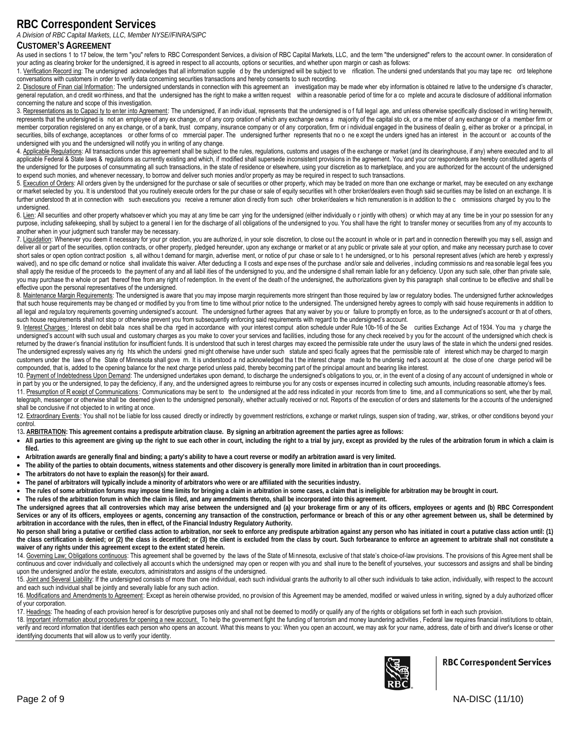*A Division of RBC Capital Markets, LLC, Member NYSE//FINRA/SIPC* 

## **CUSTOMER'S AGREEMENT**

As used in sections 1 to 17 below, the term "you" refers to RBC Correspondent Services, a division of RBC Capital Markets, LLC, and the term "the undersigned" refers to the account owner. In consideration of your acting as clearing broker for the undersigned, it is agreed in respect to all accounts, options or securities, and whether upon margin or cash as follows:

1. Verification Record ing: The undersigned acknowledges that all information supplie d by the undersigned will be subject to ve rification. The undersi gned understands that you may tape rec ord telephone conversations with customers in order to verify data concerning securities transactions and hereby consents to such recording.

2. Disclosure of Finan cial Information: The undersigned understands in connection with this agreement an investigation may be made wher eby information is obtained re lative to the undersigne d's character, general reputation, and credit wo rthiness, and that the undersigned has the right to make a written request within a reasonable period of time for a co mplete and accura te disclosure of additional information concerning the nature and scope of this investigation.

3. Representations as to Capaci ty to enter into Agreement: The undersigned, if an indiv idual, represents that the undersigned is o f full legal age, and unless otherwise specifically disclosed in wri ting herewith, represents that the undersigned is not an employee of any ex change, or of any corp oration of which any exchange owns a majority of the capital sto ck, or a me mber of any exchange or of a member firm or member corporation registered on any ex change, or of a bank, trust company, insurance company or of any corporation, firm or i ndividual engaged in the business of dealin g, either as broker or a principal, in securities, bills of exchange, acceptances or other forms of co mmercial paper. The undersigned further represents that no o ne except the unders igned has an interest in the account or ac counts of the undersigned with you and the undersigned will notify you in writing of any change.

4. Applicable Regulations: All transactions under this agreement shall be subject to the rules, regulations, customs and usages of the exchange or market (and its clearinghouse, if any) where executed and to all applicable Federal & State laws & regulations as currently existing and which, if modified shall supersede inconsistent provisions in the agreement. You and your cor respondents are hereby constituted agents of the undersigned for the purposes of consummating all such transactions, in the state of residence or elsewhere, using your discretion as to marketplace, and you are authorized for the account of the undersigned to expend such monies, and whenever necessary, to borrow and deliver such monies and/or property as may be required in respect to such transactions.

5. Execution of Orders: All orders given by the undersigned for the purchase or sale of securities or other property, which may be traded on more than one exchange or market, may be executed on any exchange or market selected by you. It is understood that you routinely execute orders for the pur chase or sale of equity securities wit h other broker/dealers even though said se curities may be listed on an exchange. It is further understood th at in connection with such executions you receive a remuner ation directly from such other broker/dealers w hich remuneration is in addition to the commissions charged by you to the undersigned.

6. Lien: All securities and other property whatsoev er which you may at any time be carr ying for the undersigned (either individually o r jointly with others) or which may at any time be in your po ssession for any purpose, including safekeeping, shall by subject to a general I ien for the discharge of all obligations of the undersigned to you. You shall have the right to transfer money or securities from any of my accounts to another when in your judgment such transfer may be necessary.

7. Liquidation: Whenever you deem it necessary for your pr otection, you are authorized, in your sole discretion, to close out the account in whole or in part and in connection therewith you may s ell, assign and deliver all or part of the securities, option contracts, or other property, pledged hereunder, upon any exchange or market or at any public or private sale at your option, and make any necessary purch ase to cover short sales or open option contract position s, all withou t demand for margin, advertise ment, or notice of pur chase or sale to t he undersigned, or to his personal represent atives (which are hereb y expressly waived), and no spe cific demand or notice shall invalidate this waiver. After deducting a Il costs and expe nses of the purchase and/or sale and deliveries, including commissio ns and rea sonable legal fees you shall apply the residue of the proceeds to the payment of any and all liabil ities of the undersigned to you, and the undersigne d shall remain liable for an y deficiency. Upon any such sale, other than private sale, you may purchase the whole or part thereof free from any right of redemption. In the event of the death of the undersigned, the authorizations given by this paragraph shall continue to be effective and shall be effective upon the personal representatives of the undersigned.

8. Maintenance Margin Requirements: The undersigned is aware that you may impose margin requirements more stringent than those required by law or regulatory bodies. The undersigned further acknowledges that such house requirements may be chang ed or modified by you from time to time without prior notice to the undersigned. The undersigned hereby agrees to comply with said house requirements in addition to all legal and regula tory requirements governing undersigned's account. The undersigned further agrees that any waiver by you or failure to promptly en force, as to the undersigned's account or th at of others, such house requirements shall not stop or otherwise prevent you from subsequently enforcing said requirements with regard to the undersigned's account.

9. Interest Charges : Interest on debit bala nces shall be cha rged in accordance with your interest comput ation schedule under Rule 10b-16 of the Se curities Exchange Act of 1934. You may charge the undersigned's account with such usual and customary charges as you make to cover your services and facilities, including those for any check received b y you for the account of the undersigned which check is returned by the drawer's financial institution for insufficient funds. It is understood that such in terest charges may exceed the permissible rate under the usury laws of the state in which the undersi gned resides. The undersigned expressly waives any rig hts which the undersi gned mi ght otherwise have under such statute and speci fically agrees that the permissible rate of interest which may be charged to margin customers under the laws of the State of Minnesota shall gove rn. It is understood a nd acknowledged tha t the interest charge made to the undersig ned's account at the close of one charge period will be compounded, that is, added to the opening balance for the next charge period unless paid, thereby becoming part of the principal amount and bearing like interest.

10. Payment of Indebtedness Upon Demand: The undersigned undertakes upon demand, to discharge the undersigned's obligations to you, or, in the event of a closing of any account of undersigned in whole or in part by you or the undersigned, to pay the deficiency, if any, and the undersigned agrees to reimburse you for any costs or expenses incurred in collecting such amounts, including reasonable attorney's fees. 11. Presumption of R eceipt of Communications: Communications may be sent to the undersigned at the add ress indicated in your records from time to time, and all communications so sent, whe ther by mail,

telegraph, messenger or otherwise shall be deemed given to the undersigned personally, whether actually received or not. Reports of the execution of or ders and statements for the a ccounts of the undersigned shall be conclusive if not objected to in writing at once.

12. Extraordinary Events: You shall not be liable for loss caused directly or indirectly by government restrictions, e xchange or market rulings, suspen sion of trading, war, strikes, or other conditions beyond your control.

13**. ARBITRATION: This agreement contains a predispute arbitration clause. By signing an arbitration agreement the parties agree as follows:**

• **All parties to this agreement are giving up the right to sue each other in court, including the right to a trial by jury, except as provided by the rules of the arbitration forum in which a claim is filed.** 

• **Arbitration awards are generally final and binding; a party's ability to have a court reverse or modify an arbitration award is very limited.** 

- **The ability of the parties to obtain documents, witness statements and other discovery is generally more limited in arbitration than in court proceedings.**
- **The arbitrators do not have to explain the reason(s) for their award.**
- **The panel of arbitrators will typically include a minority of arbitrators who were or are affiliated with the securities industry.**
- The rules of some arbitration forums may impose time limits for bringing a claim in arbitration in some cases, a claim that is ineligible for arbitration may be brought in court.

• **The rules of the arbitration forum in which the claim is filed, and any amendments thereto, shall be incorporated into this agreement.**

The undersigned agrees that all controversies which may arise between the undersigned and (a) your brokerage firm or any of its officers, employees or agents and (b) RBC Correspondent Services or any of its officers, employees or agents, concerning any transaction of the construction, performance or breach of this or any other agreement between us, shall be determined by **arbitration in accordance with the rules, then in effect, of the Financial Industry Regulatory Authority.** 

**No person shall bring a putative or certified class action to arbitration, nor seek to enforce any predispute arbitration against any person who has initiated in court a putative class action until: (1)**  the class certification is denied; or (2) the class is decertified; or (3) the client is excluded from the class by court. Such forbearance to enforce an agreement to arbitrate shall not constitute a **waiver of any rights under this agreement except to the extent stated herein.** 

14. Governing Law; Obligations continuous: This agreement shall be governed by the laws of the State of Mi nnesota, exclusive of that state's choice-of-law provisions. The provisions of this Agree ment shall be continuous and cover individually and collectively all accounts which the undersigned may open or reopen with you and shall inure to the benefit of yourselves, your successors and assigns and shall be binding upon the undersigned and/or the estate, executors, administrators and assigns of the undersigned.

15. Joint and Several Liability: If the undersigned consists of more than one individual, each such individual grants the authority to all other such individuals to take action, individually, with respect to the account and each such individual shall be jointly and severally liable for any such action.

16. Modifications and Amendments to Agreement: Except as herein otherwise provided, no provision of this Agreement may be amended, modified or waived unless in writing, signed by a duly authorized officer of your corporation.

17. Headings: The heading of each provision hereof is for descriptive purposes only and shall not be deemed to modify or qualify any of the rights or obligations set forth in each such provision.

18. Important information about procedures for opening a new account. To help the government fight the funding of terrorism and money laundering activities , Federal law requires financial institutions to obtain, verify and record information that identifies each person who opens an account. What this means to you: When you open an account, we may ask for your name, address, date of birth and driver's license or other identifying documents that will allow us to verify your identity.

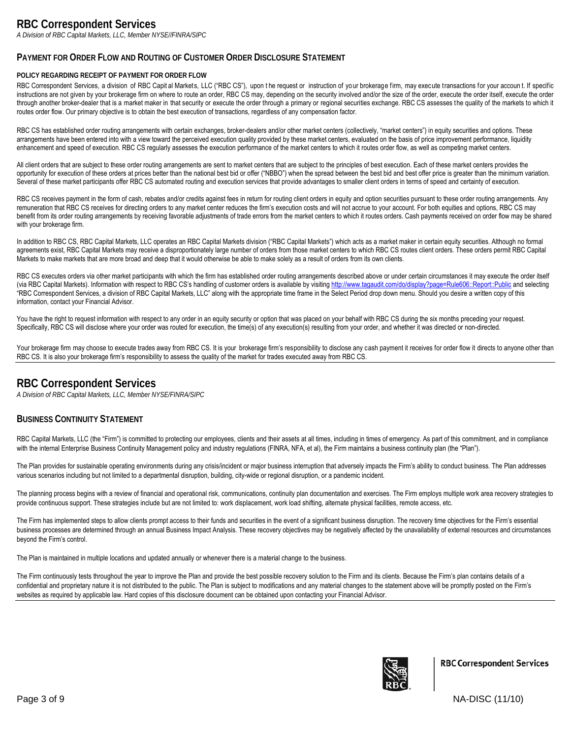*A Division of RBC Capital Markets, LLC, Member NYSE//FINRA/SIPC* 

## **PAYMENT FOR ORDER FLOW AND ROUTING OF CUSTOMER ORDER DISCLOSURE STATEMENT**

### **POLICY REGARDING RECEIPT OF PAYMENT FOR ORDER FLOW**

RBC Correspondent Services, a division of RBC Capit al Markets, LLC ("RBC CS"), upon the request or instruction of your brokerage firm, may execute transactions for your accoun t. If specific instructions are not given by your brokerage firm on where to route an order, RBC CS may, depending on the security involved and/or the size of the order, execute the order itself, execute the order itself, execute the ord through another broker-dealer that is a market maker in that security or execute the order through a primary or regional securities exchange. RBC CS assesses the quality of the markets to which it routes order flow. Our primary objective is to obtain the best execution of transactions, regardless of any compensation factor.

RBC CS has established order routing arrangements with certain exchanges, broker-dealers and/or other market centers (collectively, "market centers") in equity securities and options. These arrangements have been entered into with a view toward the perceived execution quality provided by these market centers, evaluated on the basis of price improvement performance, liquidity enhancement and speed of execution. RBC CS regularly assesses the execution performance of the market centers to which it routes order flow, as well as competing market centers.

All client orders that are subject to these order routing arrangements are sent to market centers that are subject to the principles of best execution. Each of these market centers provides the opportunity for execution of these orders at prices better than the national best bid or offer ("NBBO") when the spread between the best bid and best offer price is greater than the minimum variation. Several of these market participants offer RBC CS automated routing and execution services that provide advantages to smaller client orders in terms of speed and certainty of execution.

RBC CS receives payment in the form of cash, rebates and/or credits against fees in return for routing client orders in equity and option securities pursuant to these order routing arrangements. Any remuneration that RBC CS receives for directing orders to any market center reduces the firm's execution costs and will not accrue to your account. For both equities and options, RBC CS may benefit from its order routing arrangements by receiving favorable adjustments of trade errors from the market centers to which it routes orders. Cash payments received on order flow may be shared with your brokerage firm.

In addition to RBC CS, RBC Capital Markets, LLC operates an RBC Capital Markets division ("RBC Capital Markets") which acts as a market maker in certain equity securities. Although no formal agreements exist, RBC Capital Markets may receive a disproportionately large number of orders from those market centers to which RBC CS routes client orders. These orders permit RBC Capital Markets to make markets that are more broad and deep that it would otherwise be able to make solely as a result of orders from its own clients.

RBC CS executes orders via other market participants with which the firm has established order routing arrangements described above or under certain circumstances it may execute the order itself (via RBC Capital Markets). Information with respect to RBC CS's handling of customer orders is available by visiting http://www.tagaudit.com/do/display?page=Rule606::Report::Public and selecting "RBC Correspondent Services, a division of RBC Capital Markets, LLC" along with the appropriate time frame in the Select Period drop down menu. Should you desire a written copy of this information, contact your Financial Advisor.

You have the right to request information with respect to any order in an equity security or option that was placed on your behalf with RBC CS during the six months preceding your request. Specifically, RBC CS will disclose where your order was routed for execution, the time(s) of any execution(s) resulting from your order, and whether it was directed or non-directed.

Your brokerage firm may choose to execute trades away from RBC CS. It is your brokerage firm's responsibility to disclose any cash payment it receives for order flow it directs to anyone other than RBC CS. It is also your brokerage firm's responsibility to assess the quality of the market for trades executed away from RBC CS.

## **RBC Correspondent Services**

*A Division of RBC Capital Markets, LLC, Member NYSE/FINRA/SIPC* 

## **BUSINESS CONTINUITY STATEMENT**

RBC Capital Markets, LLC (the "Firm") is committed to protecting our employees, clients and their assets at all times, including in times of emergency. As part of this commitment, and in compliance with the internal Enterprise Business Continuity Management policy and industry regulations (FINRA, NFA, et al), the Firm maintains a business continuity plan (the "Plan").

The Plan provides for sustainable operating environments during any crisis/incident or major business interruption that adversely impacts the Firm's ability to conduct business. The Plan addresses various scenarios including but not limited to a departmental disruption, building, city-wide or regional disruption, or a pandemic incident.

The planning process begins with a review of financial and operational risk, communications, continuity plan documentation and exercises. The Firm employs multiple work area recovery strategies to provide continuous support. These strategies include but are not limited to: work displacement, work load shifting, alternate physical facilities, remote access, etc.

The Firm has implemented steps to allow clients prompt access to their funds and securities in the event of a significant business disruption. The recovery time objectives for the Firm's essential business processes are determined through an annual Business Impact Analysis. These recovery objectives may be negatively affected by the unavailability of external resources and circumstances beyond the Firm's control.

The Plan is maintained in multiple locations and updated annually or whenever there is a material change to the business.

The Firm continuously tests throughout the year to improve the Plan and provide the best possible recovery solution to the Firm and its clients. Because the Firm's plan contains details of a confidential and proprietary nature it is not distributed to the public. The Plan is subject to modifications and any material changes to the statement above will be promptly posted on the Firm's websites as required by applicable law. Hard copies of this disclosure document can be obtained upon contacting your Financial Advisor.

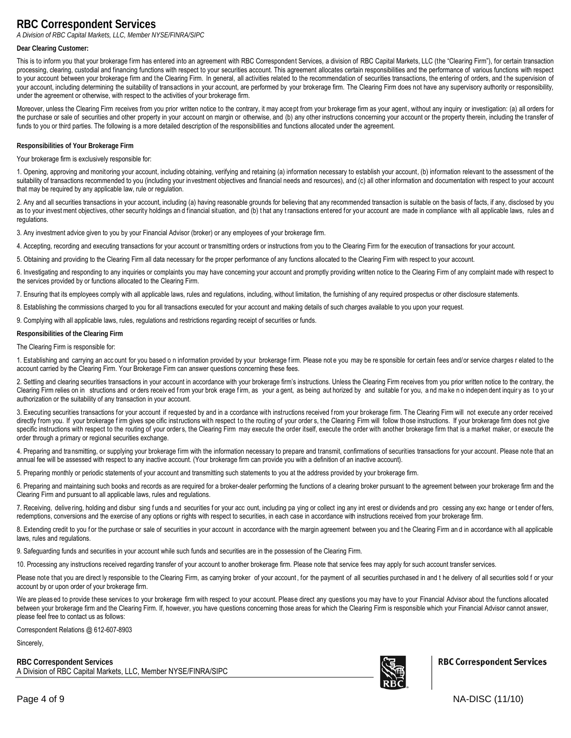*A Division of RBC Capital Markets, LLC, Member NYSE/FINRA/SIPC* 

## **Dear Clearing Customer:**

This is to inform you that your brokerage firm has entered into an agreement with RBC Correspondent Services, a division of RBC Capital Markets, LLC (the "Clearing Firm"), for certain transaction processing, clearing, custodial and financing functions with respect to your securities account. This agreement allocates certain responsibilities and the performance of various functions with respect to your account between your brokerage firm and the Clearing Firm. In general, all activities related to the recommendation of securities transactions, the entering of orders, and the supervision of your account, including determining the suitability of transactions in your account, are performed by your brokerage firm. The Clearing Firm does not have any supervisory authority or responsibility, under the agreement or otherwise, with respect to the activities of your brokerage firm.

Moreover, unless the Clearing Firm receives from you prior written notice to the contrary, it may accept from your brokerage firm as your agent, without any inquiry or investigation: (a) all orders for the purchase or sale of securities and other property in your account on margin or otherwise, and (b) any other instructions concerning your account or the property therein, including the transfer of funds to you or third parties. The following is a more detailed description of the responsibilities and functions allocated under the agreement.

#### **Responsibilities of Your Brokerage Firm**

Your brokerage firm is exclusively responsible for:

1. Opening, approving and monitoring your account, including obtaining, verifying and retaining (a) information necessary to establish your account, (b) information relevant to the assessment of the suitability of transactions recommended to you (including your investment objectives and financial needs and resources), and (c) all other information and documentation with respect to your account that may be required by any applicable law, rule or regulation.

2. Any and all securities transactions in your account, including (a) having reasonable grounds for believing that any recommended transaction is suitable on the basis of facts, if any, disclosed by you as to your invest ment objectives, other security holdings and financial situation, and (b) that any transactions entered for your account are made in compliance with all applicable laws, rules and regulations.

3. Any investment advice given to you by your Financial Advisor (broker) or any employees of your brokerage firm.

4. Accepting, recording and executing transactions for your account or transmitting orders or instructions from you to the Clearing Firm for the execution of transactions for your account.

5. Obtaining and providing to the Clearing Firm all data necessary for the proper performance of any functions allocated to the Clearing Firm with respect to your account.

6. Investigating and responding to any inquiries or complaints you may have concerning your account and promptly providing written notice to the Clearing Firm of any complaint made with respect to the services provided by or functions allocated to the Clearing Firm.

7. Ensuring that its employees comply with all applicable laws, rules and regulations, including, without limitation, the furnishing of any required prospectus or other disclosure statements.

8. Establishing the commissions charged to you for all transactions executed for your account and making details of such charges available to you upon your request.

9. Complying with all applicable laws, rules, regulations and restrictions regarding receipt of securities or funds.

#### **Responsibilities of the Clearing Firm**

The Clearing Firm is responsible for:

1. Establishing and carrying an acc ount for you based o n information provided by your brokerage firm. Please note you may be re sponsible for certain fees and/or service charges r elated to the account carried by the Clearing Firm. Your Brokerage Firm can answer questions concerning these fees.

2. Settling and clearing securities transactions in your account in accordance with your brokerage firm's instructions. Unless the Clearing Firm receives from you prior written notice to the contrary, the Clearing Firm relies on in structions and or ders received from your brok erage firm, as your a gent, as being aut horized by and suitable for you, and ma ke n o indepen dent inquir y as to yo ur authorization or the suitability of any transaction in your account.

3. Executing securities transactions for your account if requested by and in a ccordance with instructions received f rom your brokerage firm. The Clearing Firm will not execute any order received directly from you. If your brokerage firm gives spe cific instructions with respect to the routing of your order s, the Clearing Firm will follow those instructions. If your brokerage firm does not give specific instructions with respect to the routing of your orders, the Clearing Firm may execute the order itself, execute the order with another brokerage firm that is a market maker, or execute the order through a primary or regional securities exchange.

4. Preparing and transmitting, or supplying your brokerage firm with the information necessary to prepare and transmit, confirmations of securities transactions for your account. Please note that an annual fee will be assessed with respect to any inactive account. (Your brokerage firm can provide you with a definition of an inactive account).

5. Preparing monthly or periodic statements of your account and transmitting such statements to you at the address provided by your brokerage firm.

6. Preparing and maintaining such books and records as are required for a broker-dealer performing the functions of a clearing broker pursuant to the agreement between your brokerage firm and the Clearing Firm and pursuant to all applicable laws, rules and regulations.

7. Receiving, delive ring, holding and disbur sing funds and securities for your acc ount, including pa ying or collect ing any int erest or dividends and pro cessing any exc hange or tender offers, redemptions, conversions and the exercise of any options or rights with respect to securities, in each case in accordance with instructions received from your brokerage firm.

8. Extending credit to you for the purchase or sale of securities in your account in accordance with the margin agreement between you and the Clearing Firm and in accordance with all applicable laws, rules and regulations.

9. Safeguarding funds and securities in your account while such funds and securities are in the possession of the Clearing Firm.

10. Processing any instructions received regarding transfer of your account to another brokerage firm. Please note that service fees may apply for such account transfer services.

Please note that you are direct ly responsible to the Clearing Firm, as carrying broker of your account, for the payment of all securities purchased in and t he delivery of all securities sold f or your account by or upon order of your brokerage firm.

We are pleased to provide these services to your brokerage firm with respect to your account. Please direct any questions you may have to your Financial Advisor about the functions allocated between your brokerage firm and the Clearing Firm. If, however, you have questions concerning those areas for which the Clearing Firm is responsible which your Financial Advisor cannot answer, please feel free to contact us as follows:

Correspondent Relations @ 612-607-8903

Sincerely,

**RBC Correspondent Services**  A Division of RBC Capital Markets, LLC, Member NYSE/FINRA/SIPC

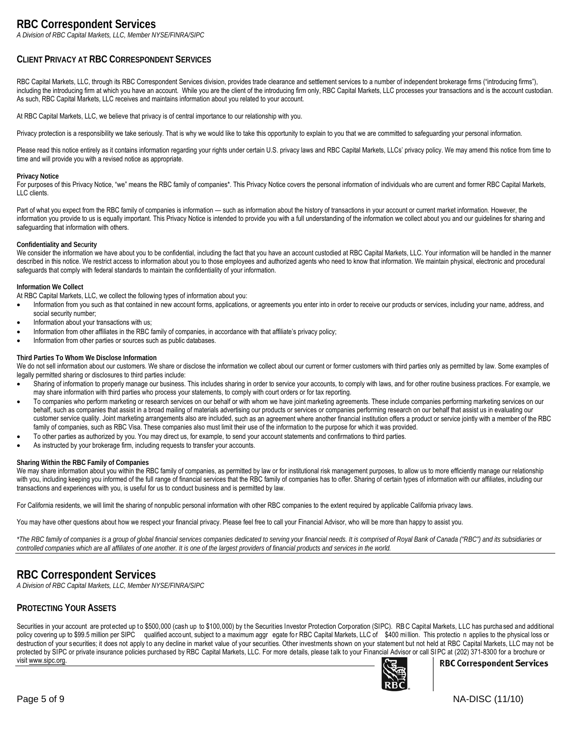*A Division of RBC Capital Markets, LLC, Member NYSE/FINRA/SIPC* 

## **CLIENT PRIVACY AT RBC CORRESPONDENT SERVICES**

RBC Capital Markets, LLC, through its RBC Correspondent Services division, provides trade clearance and settlement services to a number of independent brokerage firms ("introducing firms"), including the introducing firm at which you have an account. While you are the client of the introducing firm only, RBC Capital Markets, LLC processes your transactions and is the account custodian. As such, RBC Capital Markets, LLC receives and maintains information about you related to your account.

At RBC Capital Markets, LLC, we believe that privacy is of central importance to our relationship with you.

Privacy protection is a responsibility we take seriously. That is why we would like to take this opportunity to explain to you that we are committed to safeguarding your personal information.

Please read this notice entirely as it contains information regarding your rights under certain U.S. privacy laws and RBC Capital Markets, LLCs' privacy policy. We may amend this notice from time to time and will provide you with a revised notice as appropriate.

#### **Privacy Notice**

For purposes of this Privacy Notice, "we" means the RBC family of companies\*. This Privacy Notice covers the personal information of individuals who are current and former RBC Capital Markets, LLC clients.

Part of what you expect from the RBC family of companies is information — such as information about the history of transactions in your account or current market information. However, the information you provide to us is equally important. This Privacy Notice is intended to provide you with a full understanding of the information we collect about you and our guidelines for sharing and safeguarding that information with others.

#### **Confidentiality and Se**c**u**r**ity**

We consider the information we have about you to be confidential, including the fact that you have an account custodied at RBC Capital Markets, LLC. Your information will be handled in the manner described in this notice. We restrict access to information about you to those employees and authorized agents who need to know that information. We maintain physical, electronic and procedural safeguards that comply with federal standards to maintain the confidentiality of your information.

#### **Information We Collect**

At RBC Capital Markets, LLC, we collect the following types of information about you:

• Information from you such as that contained in new account forms, applications, or agreements you enter into in order to receive our products or services, including your name, address, and social security number;

- Information about your transactions with us;
- Information from other affiliates in the RBC family of companies, in accordance with that affiliate's privacy policy;
- Information from other parties or sources such as public databases.

### **Third Parties To Whom We Disclose Information**

We do not sell information about our customers. We share or disclose the information we collect about our current or former customers with third parties only as permitted by law. Some examples of legally permitted sharing or disclosures to third parties include:

- Sharing of information to properly manage our business. This includes sharing in order to service your accounts, to comply with laws, and for other routine business practices. For example, we may share information with third parties who process your statements, to comply with court orders or for tax reporting.
- To companies who perform marketing or research services on our behalf or with whom we have joint marketing agreements. These include companies performing marketing services on our behalf, such as companies that assist in a broad mailing of materials advertising our products or services or companies performing research on our behalf that assist us in evaluating our customer service quality. Joint marketing arrangements also are included, such as an agreement where another financial institution offers a product or service jointly with a member of the RBC family of companies, such as RBC Visa. These companies also must limit their use of the information to the purpose for which it was provided.
- To other parties as authorized by you. You may direct us, for example, to send your account statements and confirmations to third parties.
- As instructed by your brokerage firm, including requests to transfer your accounts.

#### **Sharing Within the RBC Family of Companies**

We may share information about you within the RBC family of companies, as permitted by law or for institutional risk management purposes, to allow us to more efficiently manage our relationship with you, including keeping you informed of the full range of financial services that the RBC family of companies has to offer. Sharing of certain types of information with our affiliates, including our transactions and experiences with you, is useful for us to conduct business and is permitted by law.

For California residents, we will limit the sharing of nonpublic personal information with other RBC companies to the extent required by applicable California privacy laws.

You may have other questions about how we respect your financial privacy. Please feel free to call your Financial Advisor, who will be more than happy to assist you.

*\*The RBC family of companies is a group of global financial services companies dedicated to serving your financial needs. It is comprised of Royal Bank of Canada ("RBC") and its subsidiaries or controlled companies which are all affiliates of one another. It is one of the largest providers of financial products and services in the world.* 

## **RBC Correspondent Services**

*A Division of RBC Capital Markets, LLC, Member NYSE/FINRA/SIPC* 

## **PROTECTING YOUR ASSETS**

Securities in your account are protected up to \$500,000 (cash up to \$100,000) by the Securities Investor Protection Corporation (SIPC). RBC Capital Markets, LLC has purcha sed and additional policy covering up to \$99.5 million per SIPC qualified account, subject to a maximum aggr egate for RBC Capital Markets, LLC of \$400 million. This protectio n applies to the physical loss or destruction of your securities; it does not apply to any decline in market value of your securities. Other investments shown on your statement but not held at RBC Capital Markets, LLC may not be protected by SIPC or private insurance policies purchased by RBC Capital Markets, LLC. For more details, please talk to your Financial Advisor or call SIPC at (202) 371-8300 for a brochure or visit www.sipc.org.

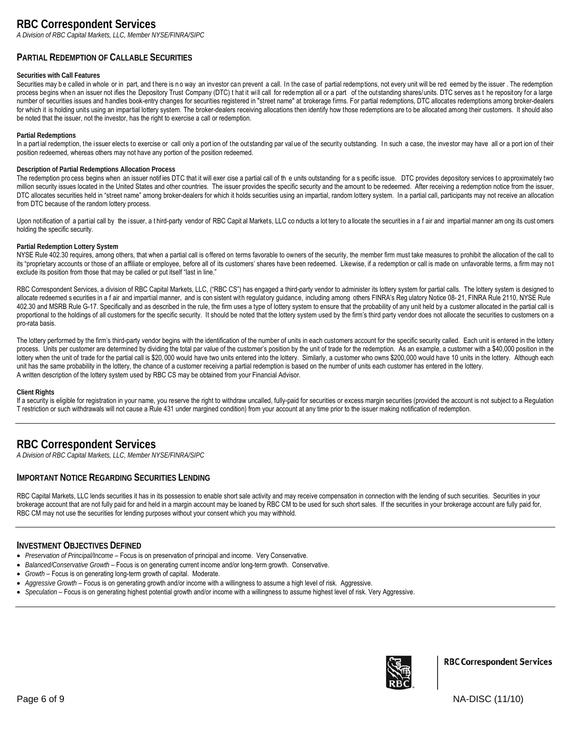*A Division of RBC Capital Markets, LLC, Member NYSE/FINRA/SIPC* 

## **PARTIAL REDEMPTION OF CALLABLE SECURITIES**

### **Securities with Call Features**

Securities may be called in whole or in part, and there is no way an investor can prevent a call. In the case of partial redemptions, not every unit will be red eemed by the issuer. The redemption process begins when an issuer not ifies the Depository Trust Company (DTC) t hat it will call for redemption all or a part of the outstanding shares/units. DTC serves as t he repository for a large number of securities issues and handles book-entry changes for securities registered in "street name" at brokerage firms. For partial redemptions, DTC allocates redemptions among broker-dealers for which it is holding units using an impartial lottery system. The broker-dealers receiving allocations then identify how those redemptions are to be allocated among their customers. It should also be noted that the issuer, not the investor, has the right to exercise a call or redemption.

#### **Partial Redemptions**

In a partial redemption, the issuer elects to exercise or call only a portion of the outstanding par value of the security outstanding. In such a case, the investor may have all or a port ion of their position redeemed, whereas others may not have any portion of the position redeemed.

#### **Description of Partial Redemptions Allocation Process**

The redemption pro cess begins when an issuer notifies DTC that it will exer cise a partial call of th e units outstanding for a s pecific issue. DTC provides depository services to approximately two million security issues located in the United States and other countries. The issuer provides the specific security and the amount to be redeemed. After receiving a redemption notice from the issuer, DTC allocates securities held in "street name" among broker-dealers for which it holds securities using an impartial, random lottery system. In a partial call, participants may not receive an allocation from DTC because of the random lottery process.

Upon notification of a partial call by the issuer, a t hird-party vendor of RBC Capit al Markets, LLC conducts a lot tery to allocate the securities in a f air and impartial manner am ong its cust omers holding the specific security.

#### **Partial Redemption Lottery System**

NYSE Rule 402.30 requires, among others, that when a partial call is offered on terms favorable to owners of the security, the member firm must take measures to prohibit the allocation of the call to its "proprietary accounts or those of an affiliate or employee, before all of its customers' shares have been redeemed. Likewise, if a redemption or call is made on unfavorable terms, a firm may not exclude its position from those that may be called or put itself "last in line."

RBC Correspondent Services, a division of RBC Capital Markets, LLC, ("RBC CS") has engaged a third-party vendor to administer its lottery system for partial calls. The lottery system is designed to allocate redeemed s ecurities in a f air and impartial manner, and is con sistent with regulatory guidance, including among others FINRA's Reg ulatory Notice 08- 21, FINRA Rule 2110, NYSE Rule 402.30 and MSRB Rule G-17. Specifically and as described in the rule, the firm uses a type of lottery system to ensure that the probability of any unit held by a customer allocated in the partial call is proportional to the holdings of all customers for the specific security. It should be noted that the lottery system used by the firm's third party vendor does not allocate the securities to customers on a pro-rata basis.

The lottery performed by the firm's third-party vendor begins with the identification of the number of units in each customers account for the specific security called. Each unit is entered in the lottery process. Units per customer are determined by dividing the total par value of the customer's position by the unit of trade for the redemption. As an example, a customer with a \$40,000 position in the lottery when the unit of trade for the partial call is \$20,000 would have two units entered into the lottery. Similarly, a customer who owns \$200,000 would have 10 units in the lottery. Although each unit has the same probability in the lottery, the chance of a customer receiving a partial redemption is based on the number of units each customer has entered in the lottery. A written description of the lottery system used by RBC CS may be obtained from your Financial Advisor.

#### **Client Rights**

If a security is eligible for registration in your name, you reserve the right to withdraw uncalled, fully-paid for securities or excess margin securities (provided the account is not subject to a Regulation T restriction or such withdrawals will not cause a Rule 431 under margined condition) from your account at any time prior to the issuer making notification of redemption.

## **RBC Correspondent Services**

*A Division of RBC Capital Markets, LLC, Member NYSE/FINRA/SIPC* 

### **IMPORTANT NOTICE REGARDING SECURITIES LENDING**

RBC Capital Markets, LLC lends securities it has in its possession to enable short sale activity and may receive compensation in connection with the lending of such securities. Securities in your brokerage account that are not fully paid for and held in a margin account may be loaned by RBC CM to be used for such short sales. If the securities in your brokerage account are fully paid for, RBC CM may not use the securities for lending purposes without your consent which you may withhold.

## **INVESTMENT OBJECTIVES DEFINED**

- *Preservation of Principal/Income* Focus is on preservation of principal and income. Very Conservative.
- *Balanced/Conservative Growth* Focus is on generating current income and/or long-term growth. Conservative.
- *Growth* Focus is on generating long-term growth of capital. Moderate.
- *Aggressive Growth* Focus is on generating growth and/or income with a willingness to assume a high level of risk. Aggressive.
- *Speculation* Focus is on generating highest potential growth and/or income with a willingness to assume highest level of risk. Very Aggressive.

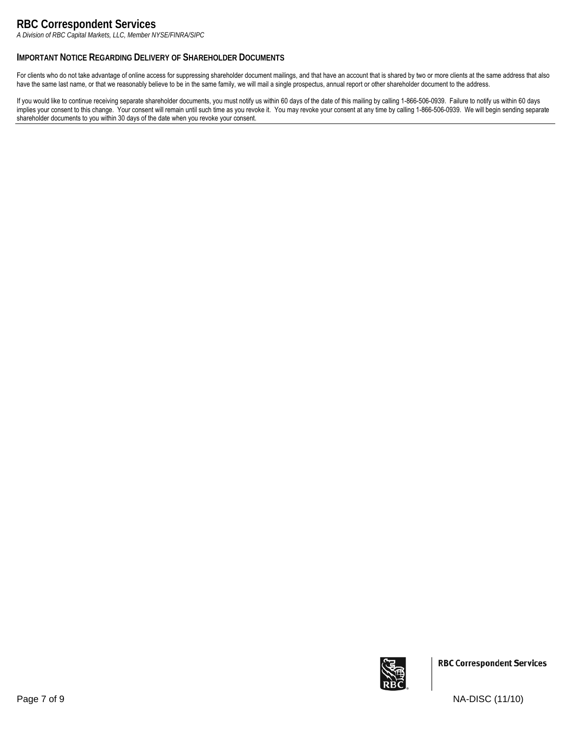*A Division of RBC Capital Markets, LLC, Member NYSE/FINRA/SIPC* 

## **IMPORTANT NOTICE REGARDING DELIVERY OF SHAREHOLDER DOCUMENTS**

For clients who do not take advantage of online access for suppressing shareholder document mailings, and that have an account that is shared by two or more clients at the same address that also have the same last name, or that we reasonably believe to be in the same family, we will mail a single prospectus, annual report or other shareholder document to the address.

If you would like to continue receiving separate shareholder documents, you must notify us within 60 days of the date of this mailing by calling 1-866-506-0939. Failure to notify us within 60 days implies your consent to this change. Your consent will remain until such time as you revoke it. You may revoke your consent at any time by calling 1-866-506-0939. We will begin sending separate shareholder documents to you within 30 days of the date when you revoke your consent.

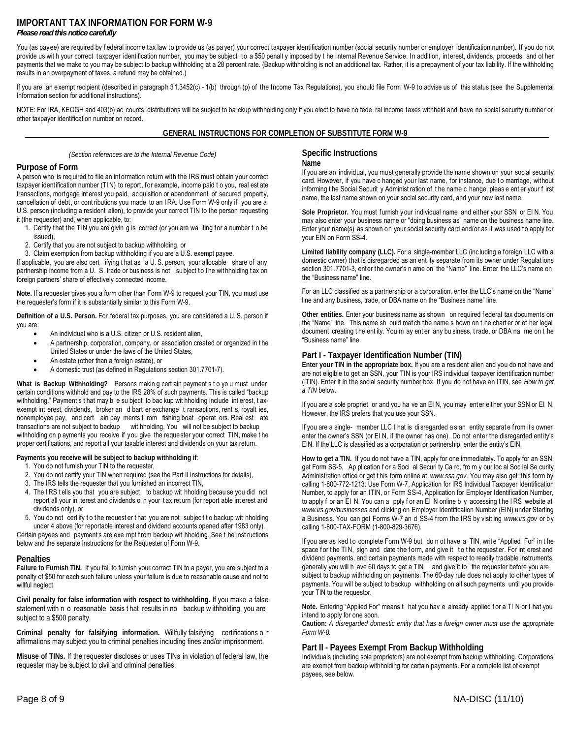## **IMPORTANT TAX INFORMATION FOR FORM W-9**

*Please read this notice carefully* 

You (as payee) are required by federal income tax law to provide us (as pa yer) your correct taxpayer identification number (social security number or employer identification number). If you do not provide us with your correct taxpayer identification number, you may be subject to a \$50 penalt y imposed by the Internal Revenue Service. In addition, interest, dividends, proceeds, and ot her payments that we make to you may be subject to backup withholding at a 28 percent rate. (Backup withholding is not an additional tax. Rather, it is a prepayment of your tax liability. If the withholding results in an overpayment of taxes, a refund may be obtained.)

If you are an exempt recipient (described in paragraph 31.3452(c) - 1(b) through (p) of the Income Tax Regulations), you should file Form W-9 to advise us of this status (see the Supplemental Information section for additional instructions).

NOTE: For IRA, KEOGH and 403(b) ac counts, distributions will be subject to ba ckup withholding only if you elect to have no fede ral income taxes withheld and have no social security number or other taxpayer identification number on record.

### **GENERAL INSTRUCTIONS FOR COMPLETION OF SUBSTITUTE FORM W-9**

*(Section references are to the Internal Revenue Code)* 

### **Purpose of Form**

A person who is req uired to file an inf ormation return with the IRS must obtain your correct taxpayer identification number (TI N) to report, for example, income paid t o you, real est ate transactions, mortgage interest you paid, ac quisition or abandonment of secured property, cancellation of debt, or cont ributions you made to an I RA. Use Form W-9 only if you are a U.S. person (including a resident alien), to provide your correct TIN to the person requesting it (the requester) and, when applicable, to:

- 1. Certify that the TIN you are givin g is correct (or you are wa iting for a number t o be issued),
- 2. Certify that you are not subject to backup withholding, or

3. Claim exemption from backup withholding if you are a U.S. exempt payee.

If applicable, you are also cert ifying t hat as a U. S. person, your allocable share of any partnership income from a U. S. trade or business is not subject to the withholding tax on foreign partners' share of effectively connected income.

**Note.** If a requester gives you a form other than Form W-9 to request your TIN, you must use the requester's form if it is substantially similar to this Form W-9.

**Definition of a U.S. Person.** For federal tax purposes, you are considered a U. S. person if you are:

- An individual who is a U.S. citizen or U.S. resident alien,
- A partnership, corporation, company, or association created or organized in t he United States or under the laws of the United States,
- An estate (other than a foreign estate), or
- A domestic trust (as defined in Regulations section 301.7701-7).

**What is Backup Withholding?** Persons makin g cert ain payment s t o yo u must under certain conditions withhold and pay to the IRS 28% of such payments. This is called "backup withholding." Payment s t hat may b e su bject to bac kup wit hholding include int erest, t axexempt int erest, dividends, broker an d bart er exchange t ransactions, rent s, royalt ies, nonemployee pay, and cert ain pay ments f rom fishing boat operat ors. Real est ate transactions are not subject to backup wit hholding. You will not be subject to backup withholding on p ayments you receive if you give the requester your correct TIN, make t he proper certifications, and report all your taxable interest and dividends on your tax return.

**Payments you receive will be subject to backup withholding if**:

- 1. You do not furnish your TIN to the requester,
- 2. You do not certify your TIN when required (see the Part II instructions for details),
- 3. The IRS tells the requester that you furnished an incorrect TIN,
- 4. The IRS tells you that you are subject to backup wit hholding becau se you did not report all your in terest and dividends o n your t ax ret urn (for report able int erest and dividends only), or
- 5. You do not certify to the requester that you are not subject to backup wit hholding under 4 above (for reportable interest and dividend accounts opened after 1983 only).

Certain payees and payment s are exe mpt from backup wit hholding. See t he inst ructions below and the separate Instructions for the Requester of Form W-9.

### **Penalties**

**Failure to Furnish TIN.** If you fail to furnish your correct TIN to a payer, you are subject to a penalty of \$50 for each such failure unless your failure is due to reasonable cause and not to willful neglect.

**Civil penalty for false information with respect to withholding.** If you make a false statement with n o reasonable basis t hat results in no backup w ithholding, you are subject to a \$500 penalty.

**Criminal penalty for falsifying information.** Willfully falsifying certifications o r affirmations may subject you to criminal penalties including fines and/or imprisonment.

**Misuse of TINs.** If the requester discloses or uses TINs in violation of federal law, the requester may be subject to civil and criminal penalties.

# **Specific Instructions**

**Name** 

If you are an individual, you must generally provide the name shown on your social security card. However, if you have c hanged your last name, for instance, due t o marriage, without informing t he Social Securit y Administ ration of t he name c hange, pleas e ent er your f irst name, the last name shown on your social security card, and your new last name.

**Sole Proprietor.** You must furnish your individual name and either your SSN or EI N. You may also enter your business name or "doing business as" name on the business name line. Enter your name(s) as shown on your social security card and/or as it was used to apply for your EIN on Form SS-4.

**Limited liability company (LLC).** For a single-member LLC (inc luding a foreign LLC with a domestic owner) that is disregarded as an ent ity separate from its owner under Regulat ions section 301.7701-3, enter the owner's n ame on the "Name" line. Enter the LLC's name on the "Business name" line.

For an LLC classified as a partnership or a corporation, enter the LLC's name on the "Name" line and any business, trade, or DBA name on the "Business name" line.

**Other entities.** Enter your business name as shown on required f ederal tax documents on the "Name" line. This name sh ould mat ch t he name s hown on t he chart er or ot her legal document creating t he ent ity. You m ay ent er any bu siness, t rade, or DBA na me on t he "Business name" line.

### **Part I - Taxpayer Identification Number (TIN)**

**Enter your TIN in the appropriate box.** If you are a resident alien and you do not have and are not eligible to get an SSN, your TIN is your IRS individual taxpayer identification number (ITIN). Enter it in the social security number box. If you do not have an ITIN, see *How to get a TIN* below.

If you are a sole propriet or and you ha ve an EI N, you may enter either your SSN or EI N. However, the IRS prefers that you use your SSN.

If you are a single- member LLC t hat is di sregarded as an entity separate from its owner enter the owner's SSN (or EI N, if the owner has one). Do not enter the disregarded entity's EIN. If the LLC is classified as a corporation or partnership, enter the entity's EIN.

**How to get a TIN.** If you do not have a TIN, apply for one immediately. To apply for an SSN, get Form SS-5, Ap plication f or a Soci al Securi ty Ca rd, fro m y our loc al Soc ial Se curity Administration office or get t his form online at *www.ssa.gov*. You may also get this form by calling 1-800-772-1213. Use Form W-7, Application for IRS Individual Taxpayer Identification Number, to apply for an ITIN, or Form SS-4, Application for Employer Identification Number, to apply f or an EI N. You can a pply f or an EI N online b y accessing the IRS website at *www.irs.gov/businesses* and clicking on Employer Identification Number (EIN) under Starting a Business. You can get Forms W-7 an d SS-4 from the IRS by visit ing *www.irs.gov* or by calling 1-800-TAX-FORM (1-800-829-3676).

If you are as ked to complete Form W-9 but do n ot have a TIN, write "Applied For" in t he space for the TIN, sign and date the form, and give it to the requester. For int erest and dividend payments, and certain payments made with respect to readily tradable instruments, generally you will h ave 60 days to get a TIN and give it to the requester before you are subject to backup withholding on payments. The 60-day rule does not apply to other types of payments. You will be subject to backup withholding on all such payments until you provide your TIN to the requestor.

Note. Entering "Applied For" means that you hav e already applied for a TI N or that you intend to apply for one soon.

**Caution:** *A disregarded domestic entity that has a foreign owner must use the appropriate Form W-8.*

### **Part II - Payees Exempt From Backup Withholding**

Individuals (including sole proprietors) are not exempt from backup withholding. Corporations are exempt from backup withholding for certain payments. For a complete list of exempt payees, see below.